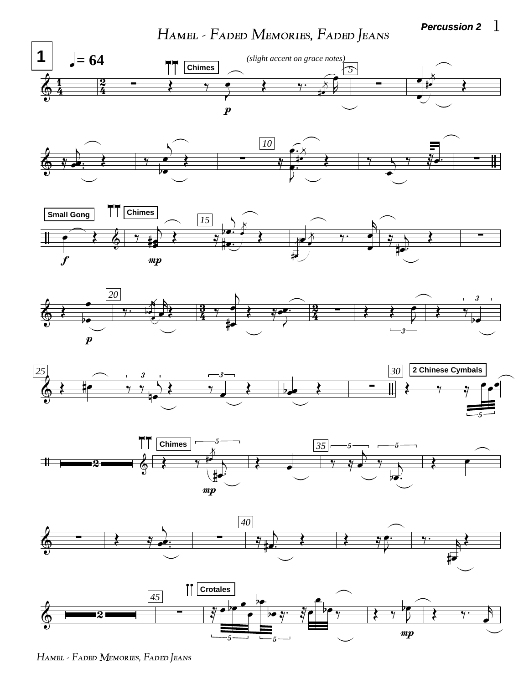

1

*Percussion 2*















Hamel - Faded Memories, Faded Jeans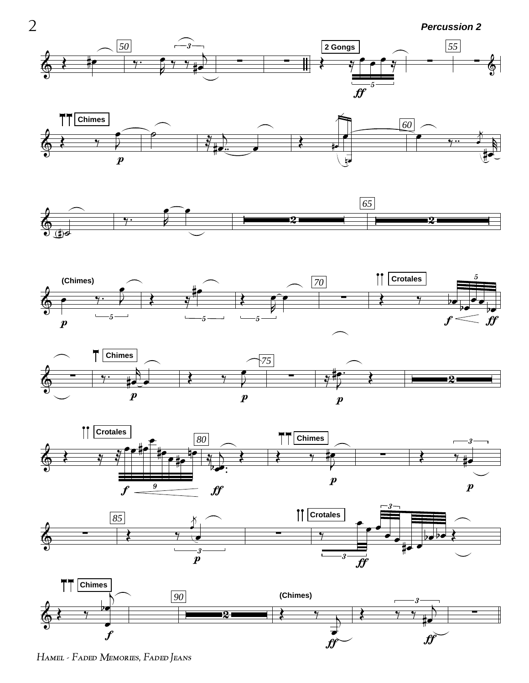*Percussion 2*

















Hamel - Faded Memories, Faded Jeans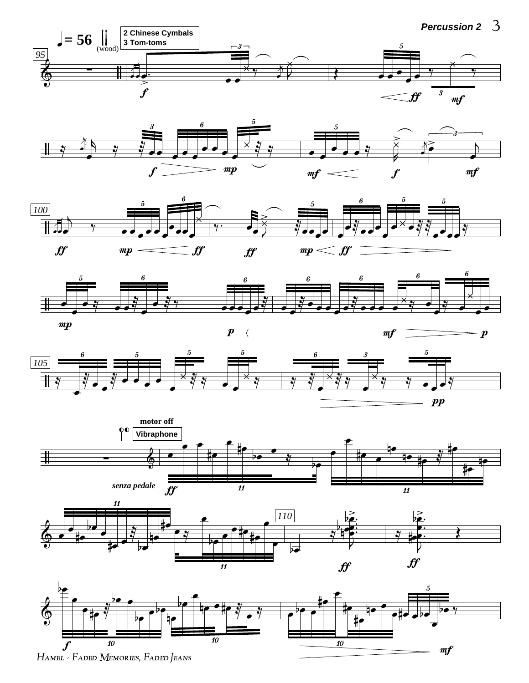









 $\mathbf{p}$  $m<sub>l</sub>$ 







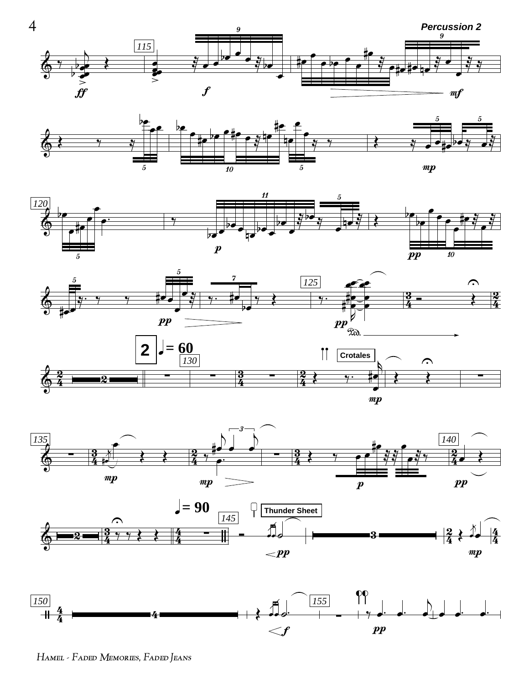















Hamel - Faded Memories, Faded Jeans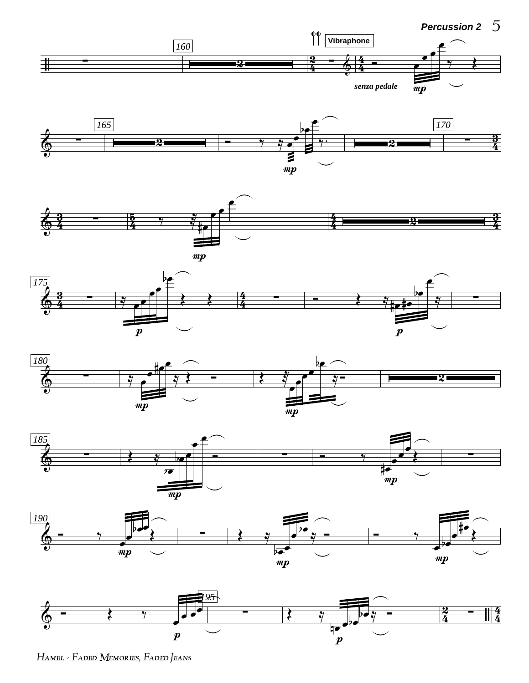















Hamel - Faded Memories, Faded Jeans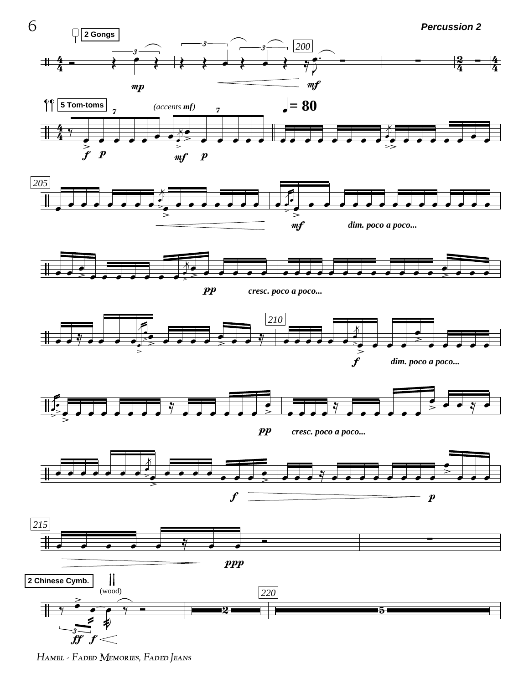

Hamel - Faded Memories, Faded Jeans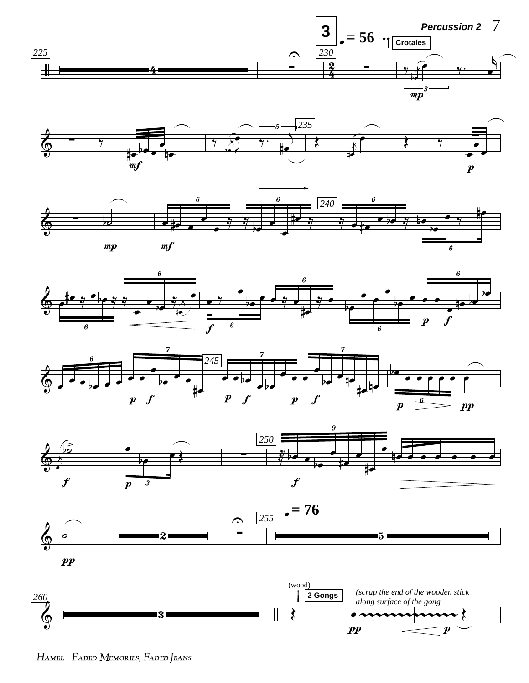

















HAMEL - FADED MEMORIES, FADED JEANS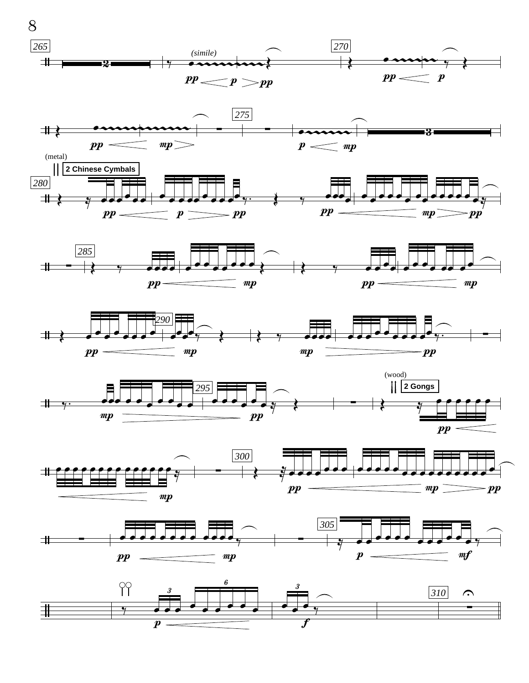















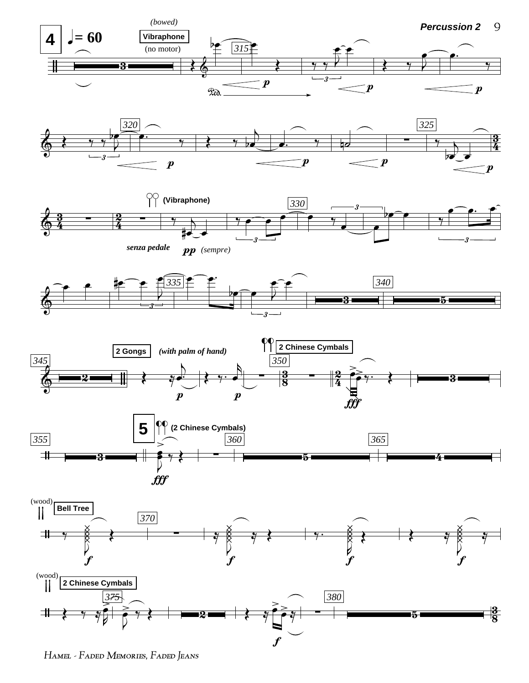













Hamel - Faded Memories, Faded Jeans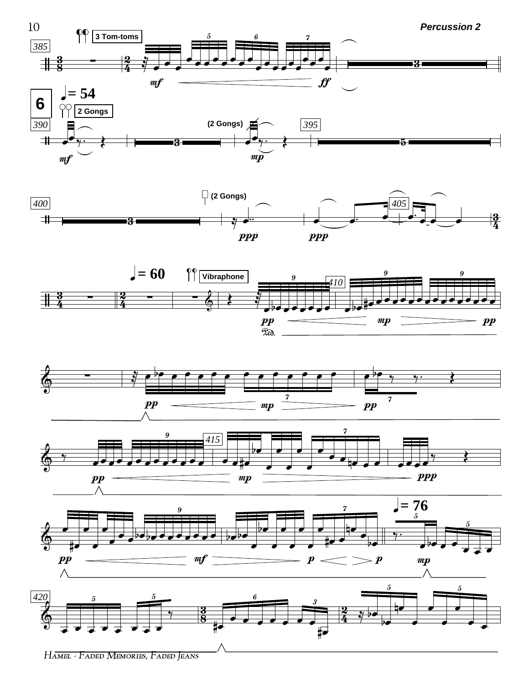









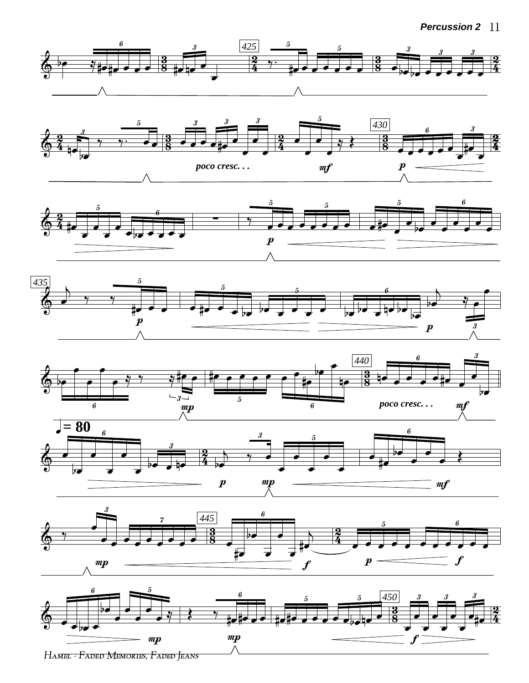**Percussion 2** 11

















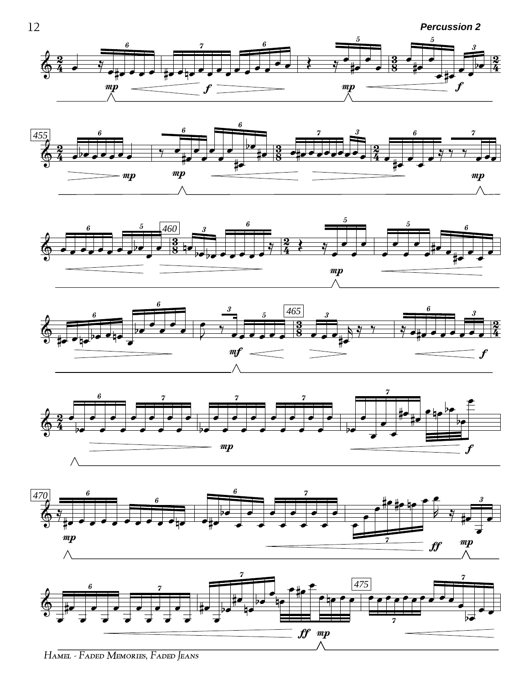













Hamel - Faded Memories, Faded Jeans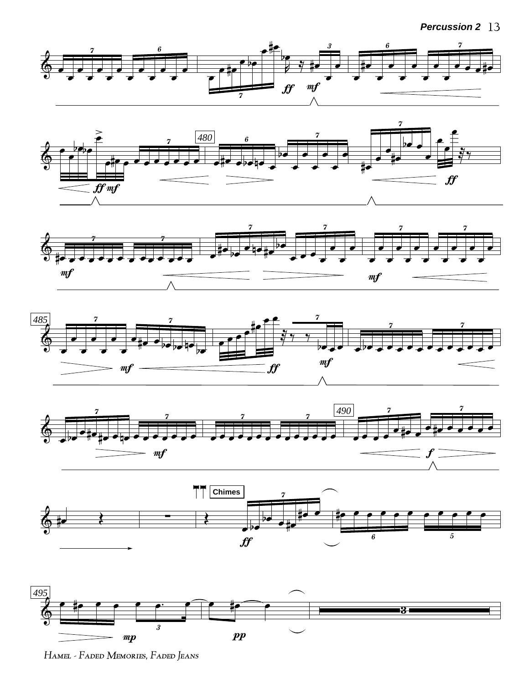**Percussion 2** 13















Hamel - Faded Memories, Faded Jeans